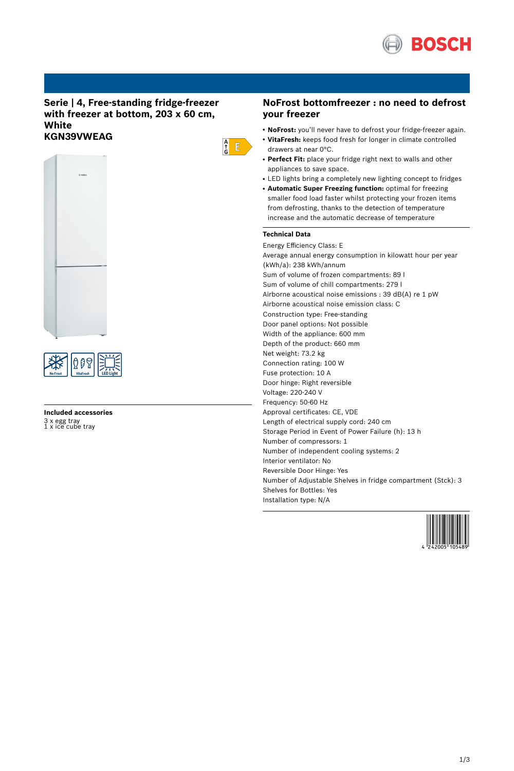

## **Serie | 4, Free-standing fridge-freezer with freezer at bottom, 203 x 60 cm, White KGN39VWEAG**





# **Included accessories** 3 x egg tray 1 x ice cube tray

## **NoFrost bottomfreezer : no need to defrost your freezer**

- NoFrost: you'll never have to defrost your fridge-freezer again.
- VitaFresh: keeps food fresh for longer in climate controlled drawers at near 0°C.
- Perfect Fit: place your fridge right next to walls and other appliances to save space.
- LED lights bring a completely new lighting concept to fridges
- **Automatic Super Freezing function:** optimal for freezing smaller food load faster whilst protecting your frozen items from defrosting, thanks to the detection of temperature increase and the automatic decrease of temperature

## **Technical Data**

 $\begin{array}{c} A \\ \uparrow \\ G \end{array}$   $\begin{array}{c} \square \\ \square \end{array}$ 

Energy Efficiency Class: E Average annual energy consumption in kilowatt hour per year (kWh/a): 238 kWh/annum Sum of volume of frozen compartments: 89 l Sum of volume of chill compartments: 279 l Airborne acoustical noise emissions : 39 dB(A) re 1 pW Airborne acoustical noise emission class: C Construction type: Free-standing Door panel options: Not possible Width of the appliance: 600 mm Depth of the product: 660 mm Net weight: 73.2 kg Connection rating: 100 W Fuse protection: 10 A Door hinge: Right reversible Voltage: 220-240 V Frequency: 50-60 Hz Approval certificates: CE, VDE Length of electrical supply cord: 240 cm Storage Period in Event of Power Failure (h): 13 h Number of compressors: 1 Number of independent cooling systems: 2 Interior ventilator: No Reversible Door Hinge: Yes Number of Adjustable Shelves in fridge compartment (Stck): 3 Shelves for Bottles: Yes Installation type: N/A

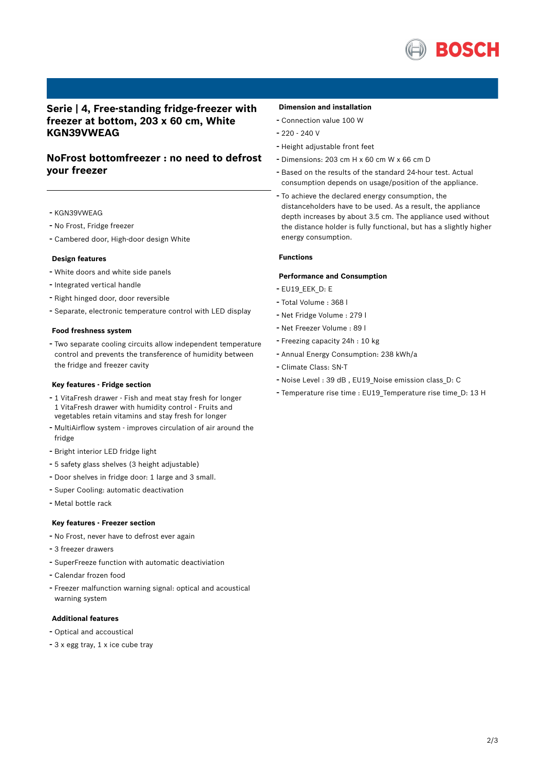

# **Serie | 4, Free-standing fridge-freezer with freezer at bottom, 203 x 60 cm, White KGN39VWEAG**

# **NoFrost bottomfreezer : no need to defrost your freezer**

- KGN39VWEAG
- No Frost, Fridge freezer
- Cambered door, High-door design White

#### **Design features**

- White doors and white side panels
- Integrated vertical handle
- Right hinged door, door reversible
- Separate, electronic temperature control with LED display

#### **Food freshness system**

- Two separate cooling circuits allow independent temperature control and prevents the transference of humidity between the fridge and freezer cavity

#### **Key features - Fridge section**

- <sup>1</sup> VitaFresh drawer Fish and meat stay fresh for longer 1 VitaFresh drawer with humidity control - Fruits and vegetables retain vitamins and stay fresh for longer
- MultiAirflow system improves circulation of air around the fridge
- Bright interior LED fridge light
- <sup>5</sup> safety glass shelves (3 height adjustable)
- Door shelves in fridge door: <sup>1</sup> large and <sup>3</sup> small.
- Super Cooling: automatic deactivation
- Metal bottle rack

#### **Key features - Freezer section**

- No Frost, never have to defrost ever again
- <sup>3</sup> freezer drawers
- SuperFreeze function with automatic deactiviation
- Calendar frozen food
- Freezer malfunction warning signal: optical and acoustical warning system

#### **Additional features**

- Optical and accoustical
- <sup>3</sup> <sup>x</sup> egg tray, <sup>1</sup> <sup>x</sup> ice cube tray

## **Dimension and installation**

- Connection value <sup>100</sup> <sup>W</sup>
- $-220 240$  V
- Height adjustable front feet
- Dimensions: 203 cm H x 60 cm W x 66 cm D
- Based on the results of the standard 24-hour test. Actual consumption depends on usage/position of the appliance.
- To achieve the declared energy consumption, the distanceholders have to be used. As a result, the appliance depth increases by about 3.5 cm. The appliance used without the distance holder is fully functional, but has a slightly higher energy consumption.

## **Functions**

### **Performance and Consumption**

- EU19\_EEK\_D: E
- Total Volume : <sup>368</sup> <sup>l</sup>
- Net Fridge Volume : <sup>279</sup> <sup>l</sup>
- Net Freezer Volume : <sup>89</sup> <sup>l</sup>
- Freezing capacity 24h : <sup>10</sup> kg
- Annual Energy Consumption: <sup>238</sup> kWh/a
- Climate Class: SN-T
- Noise Level : <sup>39</sup> dB , EU19\_Noise emission class\_D: <sup>C</sup>
- Temperature rise time : EU19\_Temperature rise time\_D: <sup>13</sup> <sup>H</sup>